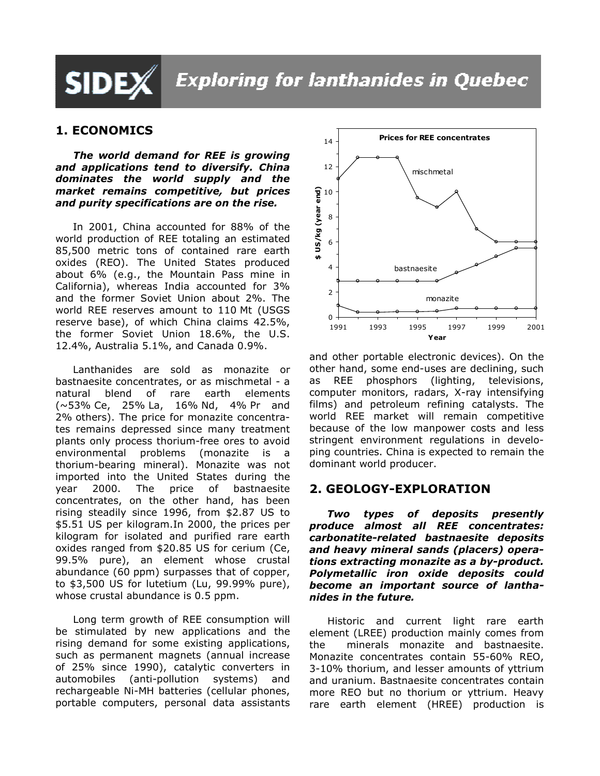# **SIDEX**

# **Exploring for lanthanides in Quebec**

# 1. ECONOMICS

The world demand for REE is growing and applications tend to diversify. China dominates the world supply and the market remains competitive, but prices and purity specifications are on the rise.

In 2001, China accounted for 88% of the world production of REE totaling an estimated 85,500 metric tons of contained rare earth oxides (REO). The United States produced about 6% (e.g., the Mountain Pass mine in California), whereas India accounted for 3% and the former Soviet Union about 2%. The world REE reserves amount to 110 Mt (USGS reserve base), of which China claims 42.5%, the former Soviet Union 18.6%, the U.S. 12.4%, Australia 5.1%, and Canada 0.9%.

Lanthanides are sold as monazite or bastnaesite concentrates, or as mischmetal - a natural blend of rare earth elements (~53% Ce, 25% La, 16% Nd, 4% Pr and 2% others). The price for monazite concentrates remains depressed since many treatment plants only process thorium-free ores to avoid environmental problems (monazite is a thorium-bearing mineral). Monazite was not imported into the United States during the year 2000. The price of bastnaesite concentrates, on the other hand, has been rising steadily since 1996, from \$2.87 US to \$5.51 US per kilogram.In 2000, the prices per kilogram for isolated and purified rare earth oxides ranged from \$20.85 US for cerium (Ce, 99.5% pure), an element whose crustal abundance (60 ppm) surpasses that of copper, to \$3,500 US for lutetium (Lu, 99.99% pure), whose crustal abundance is 0.5 ppm.

Long term growth of REE consumption will be stimulated by new applications and the rising demand for some existing applications, such as permanent magnets (annual increase of 25% since 1990), catalytic converters in automobiles (anti-pollution systems) and rechargeable Ni-MH batteries (cellular phones, portable computers, personal data assistants



and other portable electronic devices). On the other hand, some end-uses are declining, such as REE phosphors (lighting, televisions, computer monitors, radars, X-ray intensifying films) and petroleum refining catalysts. The world REE market will remain competitive because of the low manpower costs and less stringent environment regulations in developing countries. China is expected to remain the dominant world producer.

## 2. GEOLOGY-EXPLORATION

Two types of deposits presently produce almost all REE concentrates: carbonatite-related bastnaesite deposits and heavy mineral sands (placers) operations extracting monazite as a by-product. Polymetallic iron oxide deposits could become an important source of lanthanides in the future.

Historic and current light rare earth element (LREE) production mainly comes from the minerals monazite and bastnaesite. Monazite concentrates contain 55-60% REO, 3-10% thorium, and lesser amounts of yttrium and uranium. Bastnaesite concentrates contain more REO but no thorium or yttrium. Heavy rare earth element (HREE) production is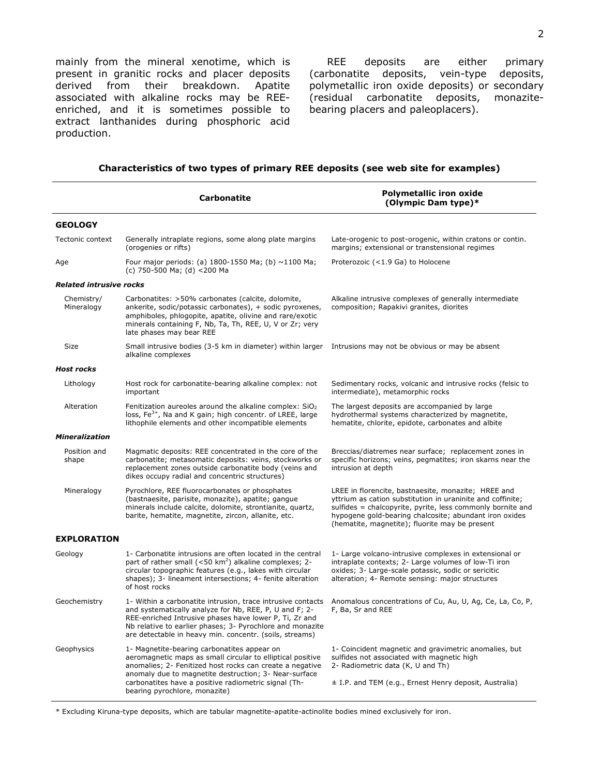mainly from the mineral xenotime, which is present in granitic rocks and placer deposits derived from their breakdown. Apatite associated with alkaline rocks may be REEenriched, and it is sometimes possible to extract lanthanides during phosphoric acid production.

REE deposits are either primary (carbonatite deposits, vein-type deposits, polymetallic iron oxide deposits) or secondary (residual carbonatite deposits, monazitebearing placers and paleoplacers).

|                                | <b>Carbonatite</b>                                                                                                                                                                                                                                                                                                      | <b>Polymetallic iron oxide</b><br>(Olympic Dam type)*                                                                                                                                                                                                                                       |  |
|--------------------------------|-------------------------------------------------------------------------------------------------------------------------------------------------------------------------------------------------------------------------------------------------------------------------------------------------------------------------|---------------------------------------------------------------------------------------------------------------------------------------------------------------------------------------------------------------------------------------------------------------------------------------------|--|
| <b>GEOLOGY</b>                 |                                                                                                                                                                                                                                                                                                                         |                                                                                                                                                                                                                                                                                             |  |
| Tectonic context               | Generally intraplate regions, some along plate margins<br>(orogenies or rifts)                                                                                                                                                                                                                                          | Late-orogenic to post-orogenic, within cratons or contin.<br>margins; extensional or transtensional regimes                                                                                                                                                                                 |  |
| Age                            | Four major periods: (a) $1800 - 1550$ Ma; (b) $\sim$ 1100 Ma;<br>(c) 750-500 Ma; (d) <200 Ma                                                                                                                                                                                                                            | Proterozoic (<1.9 Ga) to Holocene                                                                                                                                                                                                                                                           |  |
| <b>Related intrusive rocks</b> |                                                                                                                                                                                                                                                                                                                         |                                                                                                                                                                                                                                                                                             |  |
| Chemistry/<br>Mineralogy       | Carbonatites: >50% carbonates (calcite, dolomite,<br>ankerite, sodic/potassic carbonates), + sodic pyroxenes,<br>amphiboles, phlogopite, apatite, olivine and rare/exotic<br>minerals containing F, Nb, Ta, Th, REE, U, V or Zr; very<br>late phases may bear REE                                                       | Alkaline intrusive complexes of generally intermediate<br>composition; Rapakivi granites, diorites                                                                                                                                                                                          |  |
| <b>Size</b>                    | Small intrusive bodies (3-5 km in diameter) within larger Intrusions may not be obvious or may be absent<br>alkaline complexes                                                                                                                                                                                          |                                                                                                                                                                                                                                                                                             |  |
| <b>Host rocks</b>              |                                                                                                                                                                                                                                                                                                                         |                                                                                                                                                                                                                                                                                             |  |
| Lithology                      | Host rock for carbonatite-bearing alkaline complex: not<br>important                                                                                                                                                                                                                                                    | Sedimentary rocks, volcanic and intrusive rocks (felsic to<br>intermediate), metamorphic rocks                                                                                                                                                                                              |  |
| Alteration                     | Fenitization aureoles around the alkaline complex: $SiO2$<br>loss, Fe <sup>3+</sup> , Na and K gain; high concentr. of LREE, large<br>lithophile elements and other incompatible elements                                                                                                                               | The largest deposits are accompanied by large<br>hydrothermal systems characterized by magnetite,<br>hematite, chlorite, epidote, carbonates and albite                                                                                                                                     |  |
| <b>Mineralization</b>          |                                                                                                                                                                                                                                                                                                                         |                                                                                                                                                                                                                                                                                             |  |
| Position and<br>shape          | Magmatic deposits: REE concentrated in the core of the<br>carbonatite; metasomatic deposits: veins, stockworks or<br>replacement zones outside carbonatite body (veins and<br>dikes occupy radial and concentric structures)                                                                                            | Breccias/diatremes near surface; replacement zones in<br>specific horizons; veins, pegmatites; iron skarns near the<br>intrusion at depth                                                                                                                                                   |  |
| Mineralogy                     | Pyrochlore, REE fluorocarbonates or phosphates<br>(bastnaesite, parisite, monazite), apatite; gangue<br>minerals include calcite, dolomite, strontianite, quartz,<br>barite, hematite, magnetite, zircon, allanite, etc.                                                                                                | LREE in florencite, bastnaesite, monazite; HREE and<br>yttrium as cation substitution in uraninite and coffinite;<br>sulfides = chalcopyrite, pyrite, less commonly bornite and<br>hypogene gold-bearing chalcosite; abundant iron oxides<br>(hematite, magnetite); fluorite may be present |  |
| <b>EXPLORATION</b>             |                                                                                                                                                                                                                                                                                                                         |                                                                                                                                                                                                                                                                                             |  |
| Geology                        | 1- Carbonatite intrusions are often located in the central<br>part of rather small ( $<$ 50 km <sup>2</sup> ) alkaline complexes; 2-<br>circular topographic features (e.g., lakes with circular<br>shapes); 3- lineament intersections; 4- fenite alteration<br>of host rocks                                          | 1- Large volcano-intrusive complexes in extensional or<br>intraplate contexts; 2- Large volumes of low-Ti iron<br>oxides; 3- Large-scale potassic, sodic or sericitic<br>alteration; 4- Remote sensing: major structures                                                                    |  |
| Geochemistry                   | 1- Within a carbonatite intrusion, trace intrusive contacts<br>and systematically analyze for Nb, REE, P, U and F; 2-<br>REE-enriched Intrusive phases have lower P, Ti, Zr and<br>Nb relative to earlier phases; 3- Pyrochlore and monazite<br>are detectable in heavy min. concentr. (soils, streams)                 | Anomalous concentrations of Cu, Au, U, Ag, Ce, La, Co, P,<br>F, Ba, Sr and REE                                                                                                                                                                                                              |  |
| Geophysics                     | 1- Magnetite-bearing carbonatites appear on<br>aeromagnetic maps as small circular to elliptical positive<br>anomalies; 2- Fenitized host rocks can create a negative<br>anomaly due to magnetite destruction; 3- Near-surface<br>carbonatites have a positive radiometric signal (Th-<br>bearing pyrochlore, monazite) | 1- Coincident magnetic and gravimetric anomalies, but<br>sulfides not associated with magnetic high<br>2- Radiometric data (K, U and Th)<br>± I.P. and TEM (e.g., Ernest Henry deposit, Australia)                                                                                          |  |

#### Characteristics of two types of primary REE deposits (see web site for examples)

\* Excluding Kiruna-type deposits, which are tabular magnetite-apatite-actinolite bodies mined exclusively for iron.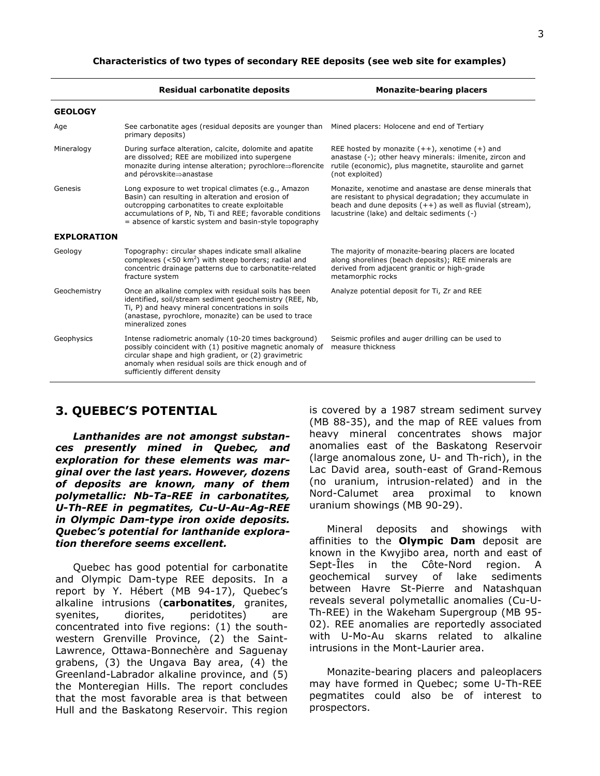|                    | <b>Residual carbonatite deposits</b>                                                                                                                                                                                                                                              | <b>Monazite-bearing placers</b>                                                                                                                                                                                                    |
|--------------------|-----------------------------------------------------------------------------------------------------------------------------------------------------------------------------------------------------------------------------------------------------------------------------------|------------------------------------------------------------------------------------------------------------------------------------------------------------------------------------------------------------------------------------|
| <b>GEOLOGY</b>     |                                                                                                                                                                                                                                                                                   |                                                                                                                                                                                                                                    |
| Age                | See carbonatite ages (residual deposits are younger than Mined placers: Holocene and end of Tertiary<br>primary deposits)                                                                                                                                                         |                                                                                                                                                                                                                                    |
| Mineralogy         | During surface alteration, calcite, dolomite and apatite<br>are dissolved; REE are mobilized into supergene<br>monazite during intense alteration; pyrochlore⇒florencite<br>and pérovskite⇒anastase                                                                               | REE hosted by monazite $(++)$ , xenotime $(+)$ and<br>anastase (-); other heavy minerals: ilmenite, zircon and<br>rutile (economic), plus magnetite, staurolite and garnet<br>(not exploited)                                      |
| Genesis            | Long exposure to wet tropical climates (e.g., Amazon<br>Basin) can resulting in alteration and erosion of<br>outcropping carbonatites to create exploitable<br>accumulations of P, Nb, Ti and REE; favorable conditions<br>= absence of karstic system and basin-style topography | Monazite, xenotime and anastase are dense minerals that<br>are resistant to physical degradation; they accumulate in<br>beach and dune deposits $(++)$ as well as fluvial (stream),<br>lacustrine (lake) and deltaic sediments (-) |
| <b>EXPLORATION</b> |                                                                                                                                                                                                                                                                                   |                                                                                                                                                                                                                                    |
| Geology            | Topography: circular shapes indicate small alkaline<br>complexes ( $<$ 50 km <sup>2</sup> ) with steep borders; radial and<br>concentric drainage patterns due to carbonatite-related<br>fracture system                                                                          | The majority of monazite-bearing placers are located<br>along shorelines (beach deposits); REE minerals are<br>derived from adjacent granitic or high-grade<br>metamorphic rocks                                                   |
| Geochemistry       | Once an alkaline complex with residual soils has been<br>identified, soil/stream sediment geochemistry (REE, Nb,<br>Ti, P) and heavy mineral concentrations in soils<br>(anastase, pyrochlore, monazite) can be used to trace<br>mineralized zones                                | Analyze potential deposit for Ti, Zr and REE                                                                                                                                                                                       |
| Geophysics         | Intense radiometric anomaly (10-20 times background)<br>possibly coincident with (1) positive magnetic anomaly of<br>circular shape and high gradient, or (2) gravimetric<br>anomaly when residual soils are thick enough and of<br>sufficiently different density                | Seismic profiles and auger drilling can be used to<br>measure thickness                                                                                                                                                            |

### 3. QUEBEC'S POTENTIAL

Lanthanides are not amongst substances presently mined in Quebec, and exploration for these elements was marginal over the last years. However, dozens of deposits are known, many of them polymetallic: Nb-Ta-REE in carbonatites, U-Th-REE in pegmatites, Cu-U-Au-Ag-REE in Olympic Dam-type iron oxide deposits. Quebec's potential for lanthanide exploration therefore seems excellent.

Quebec has good potential for carbonatite and Olympic Dam-type REE deposits. In a report by Y. Hébert (MB 94-17), Quebec's alkaline intrusions (carbonatites, granites, syenites, diorites, peridotites) are concentrated into five regions: (1) the southwestern Grenville Province, (2) the Saint-Lawrence, Ottawa-Bonnechère and Saguenay grabens, (3) the Ungava Bay area, (4) the Greenland-Labrador alkaline province, and (5) the Monteregian Hills. The report concludes that the most favorable area is that between Hull and the Baskatong Reservoir. This region is covered by a 1987 stream sediment survey (MB 88-35), and the map of REE values from heavy mineral concentrates shows major anomalies east of the Baskatong Reservoir (large anomalous zone, U- and Th-rich), in the Lac David area, south-east of Grand-Remous (no uranium, intrusion-related) and in the Nord-Calumet area proximal to known uranium showings (MB 90-29).

Mineral deposits and showings with affinities to the **Olympic Dam** deposit are known in the Kwyjibo area, north and east of Sept-Îles in the Côte-Nord region. A geochemical survey of lake sediments between Havre St-Pierre and Natashquan reveals several polymetallic anomalies (Cu-U-Th-REE) in the Wakeham Supergroup (MB 95- 02). REE anomalies are reportedly associated with U-Mo-Au skarns related to alkaline intrusions in the Mont-Laurier area.

Monazite-bearing placers and paleoplacers may have formed in Quebec; some U-Th-REE pegmatites could also be of interest to prospectors.